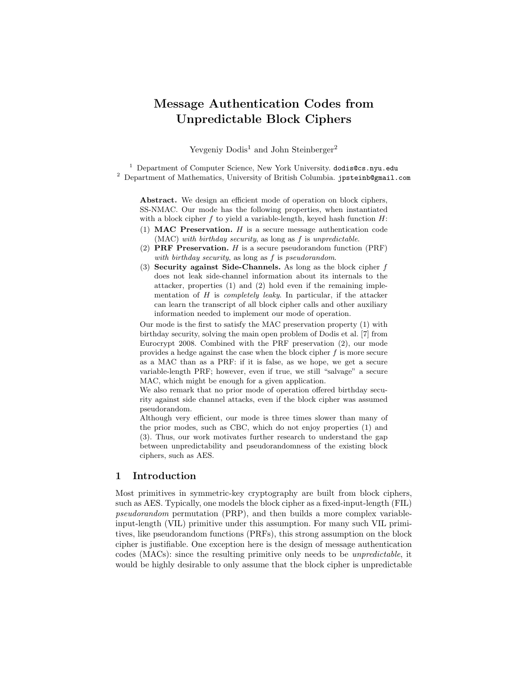# Message Authentication Codes from Unpredictable Block Ciphers

Yevgeniy Dodis<sup>1</sup> and John Steinberger<sup>2</sup>

<sup>1</sup> Department of Computer Science, New York University. dodis@cs.nyu.edu <sup>2</sup> Department of Mathematics, University of British Columbia. jpsteinb@gmail.com

Abstract. We design an efficient mode of operation on block ciphers, SS-NMAC. Our mode has the following properties, when instantiated with a block cipher f to yield a variable-length, keyed hash function  $H$ :

- (1) MAC Preservation.  $H$  is a secure message authentication code (MAC) with birthday security, as long as f is unpredictable.
- (2) **PRF Preservation.** H is a secure pseudorandom function  $(PRF)$ with birthday security, as long as f is pseudorandom.
- (3) Security against Side-Channels. As long as the block cipher  $f$ does not leak side-channel information about its internals to the attacker, properties (1) and (2) hold even if the remaining implementation of  $H$  is *completely leaky*. In particular, if the attacker can learn the transcript of all block cipher calls and other auxiliary information needed to implement our mode of operation.

Our mode is the first to satisfy the MAC preservation property (1) with birthday security, solving the main open problem of Dodis et al. [7] from Eurocrypt 2008. Combined with the PRF preservation (2), our mode provides a hedge against the case when the block cipher f is more secure as a MAC than as a PRF: if it is false, as we hope, we get a secure variable-length PRF; however, even if true, we still "salvage" a secure MAC, which might be enough for a given application.

We also remark that no prior mode of operation offered birthday security against side channel attacks, even if the block cipher was assumed pseudorandom.

Although very efficient, our mode is three times slower than many of the prior modes, such as CBC, which do not enjoy properties (1) and (3). Thus, our work motivates further research to understand the gap between unpredictability and pseudorandomness of the existing block ciphers, such as AES.

## 1 Introduction

Most primitives in symmetric-key cryptography are built from block ciphers, such as AES. Typically, one models the block cipher as a fixed-input-length (FIL) pseudorandom permutation (PRP), and then builds a more complex variableinput-length (VIL) primitive under this assumption. For many such VIL primitives, like pseudorandom functions (PRFs), this strong assumption on the block cipher is justifiable. One exception here is the design of message authentication codes (MACs): since the resulting primitive only needs to be unpredictable, it would be highly desirable to only assume that the block cipher is unpredictable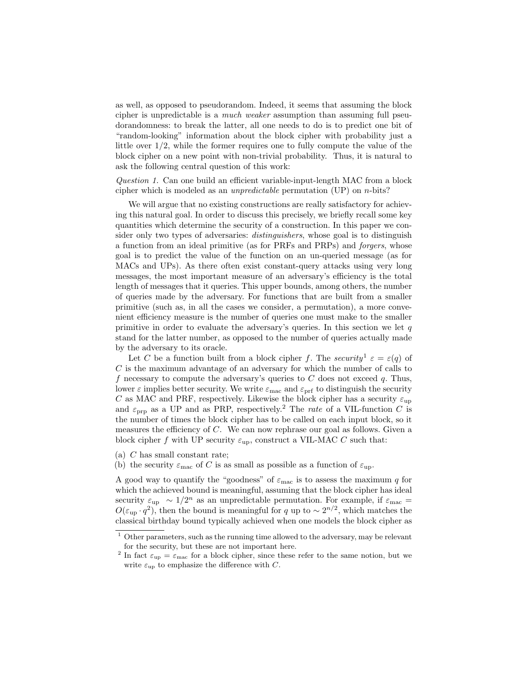as well, as opposed to pseudorandom. Indeed, it seems that assuming the block cipher is unpredictable is a *much weaker* assumption than assuming full pseudorandomness: to break the latter, all one needs to do is to predict one bit of "random-looking" information about the block cipher with probability just a little over 1/2, while the former requires one to fully compute the value of the block cipher on a new point with non-trivial probability. Thus, it is natural to ask the following central question of this work:

Question 1. Can one build an efficient variable-input-length MAC from a block cipher which is modeled as an unpredictable permutation (UP) on n-bits?

We will argue that no existing constructions are really satisfactory for achieving this natural goal. In order to discuss this precisely, we briefly recall some key quantities which determine the security of a construction. In this paper we consider only two types of adversaries: *distinguishers*, whose goal is to distinguish a function from an ideal primitive (as for PRFs and PRPs) and forgers, whose goal is to predict the value of the function on an un-queried message (as for MACs and UPs). As there often exist constant-query attacks using very long messages, the most important measure of an adversary's efficiency is the total length of messages that it queries. This upper bounds, among others, the number of queries made by the adversary. For functions that are built from a smaller primitive (such as, in all the cases we consider, a permutation), a more convenient efficiency measure is the number of queries one must make to the smaller primitive in order to evaluate the adversary's queries. In this section we let  $q$ stand for the latter number, as opposed to the number of queries actually made by the adversary to its oracle.

Let C be a function built from a block cipher f. The security<sup>1</sup>  $\varepsilon = \varepsilon(q)$  of C is the maximum advantage of an adversary for which the number of calls to f necessary to compute the adversary's queries to  $C$  does not exceed  $q$ . Thus, lower  $\varepsilon$  implies better security. We write  $\varepsilon_{\text{mac}}$  and  $\varepsilon_{\text{prf}}$  to distinguish the security C as MAC and PRF, respectively. Likewise the block cipher has a security  $\varepsilon_{\text{up}}$ and  $\varepsilon_{\text{prp}}$  as a UP and as PRP, respectively.<sup>2</sup> The *rate* of a VIL-function C is the number of times the block cipher has to be called on each input block, so it measures the efficiency of C. We can now rephrase our goal as follows. Given a block cipher f with UP security  $\varepsilon_{\text{up}}$ , construct a VIL-MAC C such that:

- (a) C has small constant rate;
- (b) the security  $\varepsilon_{\text{mac}}$  of C is as small as possible as a function of  $\varepsilon_{\text{up}}$ .

A good way to quantify the "goodness" of  $\varepsilon_{\text{mac}}$  is to assess the maximum q for which the achieved bound is meaningful, assuming that the block cipher has ideal security  $\varepsilon_{\text{up}} \sim 1/2^n$  as an unpredictable permutation. For example, if  $\varepsilon_{\text{mac}} =$  $O(\varepsilon_{\rm up} \cdot q^2)$ , then the bound is meaningful for q up to  $\sim 2^{n/2}$ , which matches the classical birthday bound typically achieved when one models the block cipher as

 $1$  Other parameters, such as the running time allowed to the adversary, may be relevant for the security, but these are not important here.

<sup>&</sup>lt;sup>2</sup> In fact  $\varepsilon_{\text{up}} = \varepsilon_{\text{mac}}$  for a block cipher, since these refer to the same notion, but we write  $\varepsilon_{\text{up}}$  to emphasize the difference with C.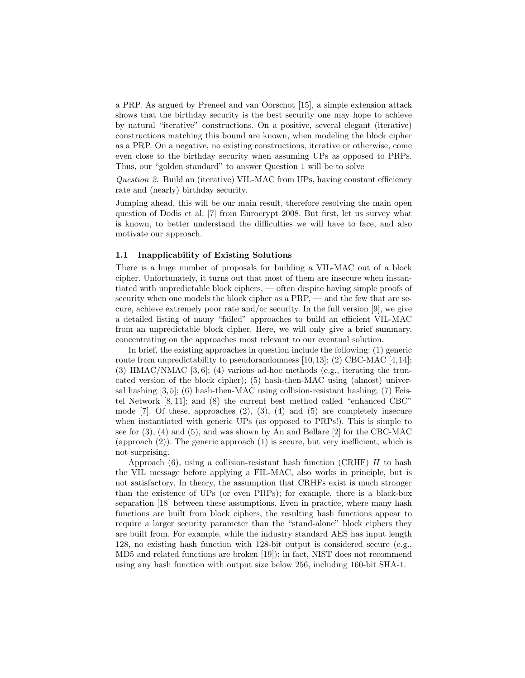a PRP. As argued by Preneel and van Oorschot [15], a simple extension attack shows that the birthday security is the best security one may hope to achieve by natural "iterative" constructions. On a positive, several elegant (iterative) constructions matching this bound are known, when modeling the block cipher as a PRP. On a negative, no existing constructions, iterative or otherwise, come even close to the birthday security when assuming UPs as opposed to PRPs. Thus, our "golden standard" to answer Question 1 will be to solve

Question 2. Build an (iterative) VIL-MAC from UPs, having constant efficiency rate and (nearly) birthday security.

Jumping ahead, this will be our main result, therefore resolving the main open question of Dodis et al. [7] from Eurocrypt 2008. But first, let us survey what is known, to better understand the difficulties we will have to face, and also motivate our approach.

#### 1.1 Inapplicability of Existing Solutions

There is a huge number of proposals for building a VIL-MAC out of a block cipher. Unfortunately, it turns out that most of them are insecure when instantiated with unpredictable block ciphers, — often despite having simple proofs of security when one models the block cipher as a PRP, — and the few that are secure, achieve extremely poor rate and/or security. In the full version [9], we give a detailed listing of many "failed" approaches to build an efficient VIL-MAC from an unpredictable block cipher. Here, we will only give a brief summary, concentrating on the approaches most relevant to our eventual solution.

In brief, the existing approaches in question include the following: (1) generic route from unpredictability to pseudorandomness [10,13]; (2) CBC-MAC [4,14]; (3) HMAC/NMAC [3, 6]; (4) various ad-hoc methods (e.g., iterating the truncated version of the block cipher); (5) hash-then-MAC using (almost) universal hashing  $[3, 5]$ ; (6) hash-then-MAC using collision-resistant hashing; (7) Feistel Network [8, 11]; and (8) the current best method called "enhanced CBC" mode  $[7]$ . Of these, approaches  $(2)$ ,  $(3)$ ,  $(4)$  and  $(5)$  are completely insecure when instantiated with generic UPs (as opposed to PRPs!). This is simple to see for  $(3)$ ,  $(4)$  and  $(5)$ , and was shown by An and Bellare [2] for the CBC-MAC (approach (2)). The generic approach (1) is secure, but very inefficient, which is not surprising.

Approach  $(6)$ , using a collision-resistant hash function (CRHF) H to hash the VIL message before applying a FIL-MAC, also works in principle, but is not satisfactory. In theory, the assumption that CRHFs exist is much stronger than the existence of UPs (or even PRPs); for example, there is a black-box separation [18] between these assumptions. Even in practice, where many hash functions are built from block ciphers, the resulting hash functions appear to require a larger security parameter than the "stand-alone" block ciphers they are built from. For example, while the industry standard AES has input length 128, no existing hash function with 128-bit output is considered secure (e.g., MD5 and related functions are broken [19]); in fact, NIST does not recommend using any hash function with output size below 256, including 160-bit SHA-1.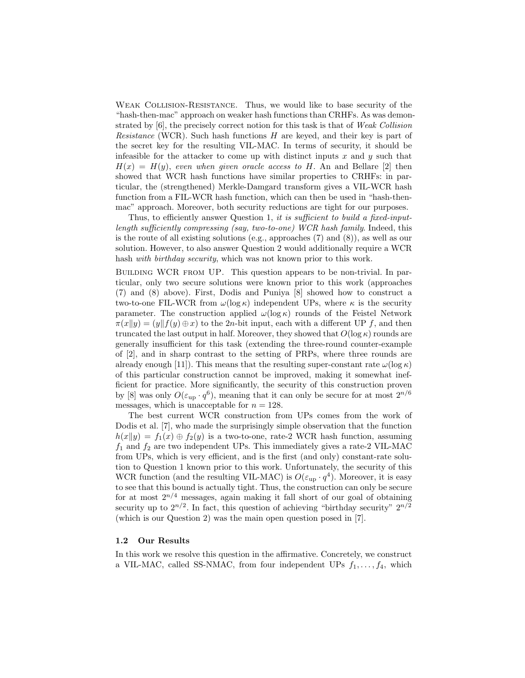WEAK COLLISION-RESISTANCE. Thus, we would like to base security of the "hash-then-mac" approach on weaker hash functions than CRHFs. As was demonstrated by [6], the precisely correct notion for this task is that of Weak Collision Resistance (WCR). Such hash functions  $H$  are keyed, and their key is part of the secret key for the resulting VIL-MAC. In terms of security, it should be infeasible for the attacker to come up with distinct inputs  $x$  and  $y$  such that  $H(x) = H(y)$ , even when given oracle access to H. An and Bellare [2] then showed that WCR hash functions have similar properties to CRHFs: in particular, the (strengthened) Merkle-Damgard transform gives a VIL-WCR hash function from a FIL-WCR hash function, which can then be used in "hash-thenmac" approach. Moreover, both security reductions are tight for our purposes.

Thus, to efficiently answer Question 1, it is sufficient to build a fixed-inputlength sufficiently compressing (say, two-to-one) WCR hash family. Indeed, this is the route of all existing solutions (e.g., approaches (7) and (8)), as well as our solution. However, to also answer Question 2 would additionally require a WCR hash with birthday security, which was not known prior to this work.

Building WCR from UP. This question appears to be non-trivial. In particular, only two secure solutions were known prior to this work (approaches (7) and (8) above). First, Dodis and Puniya [8] showed how to construct a two-to-one FIL-WCR from  $\omega(\log \kappa)$  independent UPs, where  $\kappa$  is the security parameter. The construction applied  $\omega(\log \kappa)$  rounds of the Feistel Network  $\pi(x||y) = (y||f(y) \oplus x)$  to the 2n-bit input, each with a different UP f, and then truncated the last output in half. Moreover, they showed that  $O(\log \kappa)$  rounds are generally insufficient for this task (extending the three-round counter-example of [2], and in sharp contrast to the setting of PRPs, where three rounds are already enough [11]). This means that the resulting super-constant rate  $\omega(\log \kappa)$ of this particular construction cannot be improved, making it somewhat inefficient for practice. More significantly, the security of this construction proven by [8] was only  $O(\varepsilon_{\rm up} \cdot q^6)$ , meaning that it can only be secure for at most  $2^{n/6}$ messages, which is unacceptable for  $n = 128$ .

The best current WCR construction from UPs comes from the work of Dodis et al. [7], who made the surprisingly simple observation that the function  $h(x||y) = f_1(x) \oplus f_2(y)$  is a two-to-one, rate-2 WCR hash function, assuming  $f_1$  and  $f_2$  are two independent UPs. This immediately gives a rate-2 VIL-MAC from UPs, which is very efficient, and is the first (and only) constant-rate solution to Question 1 known prior to this work. Unfortunately, the security of this WCR function (and the resulting VIL-MAC) is  $O(\varepsilon_{\rm up} \cdot q^4)$ . Moreover, it is easy to see that this bound is actually tight. Thus, the construction can only be secure for at most  $2^{n/4}$  messages, again making it fall short of our goal of obtaining security up to  $2^{n/2}$ . In fact, this question of achieving "birthday security"  $2^{n/2}$ (which is our Question 2) was the main open question posed in [7].

#### 1.2 Our Results

In this work we resolve this question in the affirmative. Concretely, we construct a VIL-MAC, called SS-NMAC, from four independent UPs  $f_1, \ldots, f_4$ , which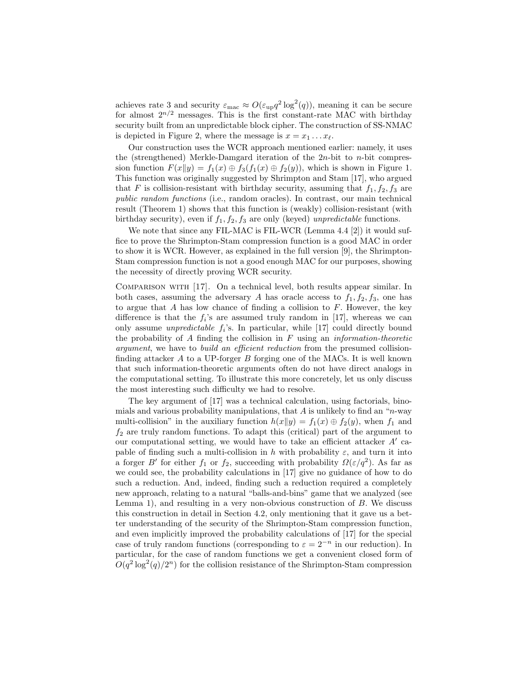achieves rate 3 and security  $\varepsilon_{\text{mac}} \approx O(\varepsilon_{\text{up}} q^2 \log^2(q))$ , meaning it can be secure for almost  $2^{n/2}$  messages. This is the first constant-rate MAC with birthday security built from an unpredictable block cipher. The construction of SS-NMAC is depicted in Figure 2, where the message is  $x = x_1 \dots x_\ell$ .

Our construction uses the WCR approach mentioned earlier: namely, it uses the (strengthened) Merkle-Damgard iteration of the  $2n$ -bit to n-bit compression function  $F(x||y) = f_1(x) \oplus f_3(f_1(x) \oplus f_2(y))$ , which is shown in Figure 1. This function was originally suggested by Shrimpton and Stam [17], who argued that F is collision-resistant with birthday security, assuming that  $f_1, f_2, f_3$  are public random functions (i.e., random oracles). In contrast, our main technical result (Theorem 1) shows that this function is (weakly) collision-resistant (with birthday security), even if  $f_1, f_2, f_3$  are only (keyed) unpredictable functions.

We note that since any FIL-MAC is FIL-WCR (Lemma 4.4 [2]) it would suffice to prove the Shrimpton-Stam compression function is a good MAC in order to show it is WCR. However, as explained in the full version [9], the Shrimpton-Stam compression function is not a good enough MAC for our purposes, showing the necessity of directly proving WCR security.

Comparison with [17]. On a technical level, both results appear similar. In both cases, assuming the adversary A has oracle access to  $f_1, f_2, f_3$ , one has to argue that  $A$  has low chance of finding a collision to  $F$ . However, the key difference is that the  $f_i$ 's are assumed truly random in [17], whereas we can only assume *unpredictable*  $f_i$ 's. In particular, while [17] could directly bound the probability of  $A$  finding the collision in  $F$  using an *information-theoretic* argument, we have to build an efficient reduction from the presumed collisionfinding attacker A to a UP-forger B forging one of the MACs. It is well known that such information-theoretic arguments often do not have direct analogs in the computational setting. To illustrate this more concretely, let us only discuss the most interesting such difficulty we had to resolve.

The key argument of [17] was a technical calculation, using factorials, binomials and various probability manipulations, that  $A$  is unlikely to find an "n-way" multi-collision" in the auxiliary function  $h(x||y) = f_1(x) \oplus f_2(y)$ , when  $f_1$  and  $f_2$  are truly random functions. To adapt this (critical) part of the argument to our computational setting, we would have to take an efficient attacker  $A'$  capable of finding such a multi-collision in h with probability  $\varepsilon$ , and turn it into a forger B' for either  $f_1$  or  $f_2$ , succeeding with probability  $\Omega(\varepsilon/q^2)$ . As far as we could see, the probability calculations in [17] give no guidance of how to do such a reduction. And, indeed, finding such a reduction required a completely new approach, relating to a natural "balls-and-bins" game that we analyzed (see Lemma 1), and resulting in a very non-obvious construction of  $B$ . We discuss this construction in detail in Section 4.2, only mentioning that it gave us a better understanding of the security of the Shrimpton-Stam compression function, and even implicitly improved the probability calculations of [17] for the special case of truly random functions (corresponding to  $\varepsilon = 2^{-n}$  in our reduction). In particular, for the case of random functions we get a convenient closed form of  $O(q^2 \log^2(q)/2^n)$  for the collision resistance of the Shrimpton-Stam compression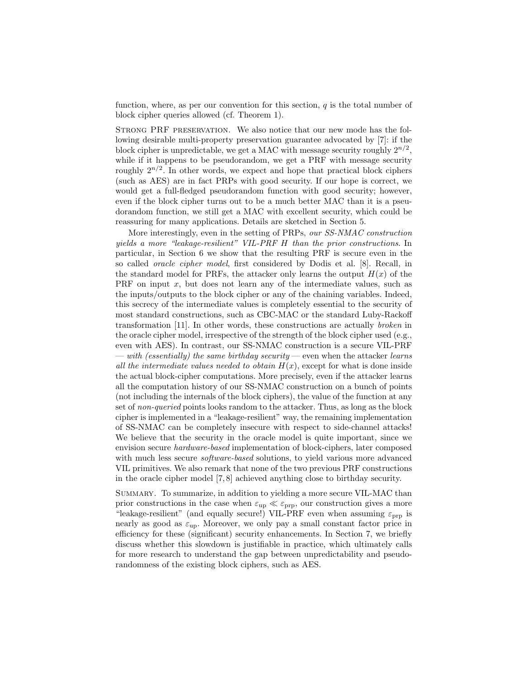function, where, as per our convention for this section,  $q$  is the total number of block cipher queries allowed (cf. Theorem 1).

STRONG PRF PRESERVATION. We also notice that our new mode has the following desirable multi-property preservation guarantee advocated by [7]: if the block cipher is unpredictable, we get a MAC with message security roughly  $2^{n/2}$ , while if it happens to be pseudorandom, we get a PRF with message security roughly  $2^{n/2}$ . In other words, we expect and hope that practical block ciphers (such as AES) are in fact PRPs with good security. If our hope is correct, we would get a full-fledged pseudorandom function with good security; however, even if the block cipher turns out to be a much better MAC than it is a pseudorandom function, we still get a MAC with excellent security, which could be reassuring for many applications. Details are sketched in Section 5.

More interestingly, even in the setting of PRPs, our SS-NMAC construction yields a more "leakage-resilient" VIL-PRF H than the prior constructions. In particular, in Section 6 we show that the resulting PRF is secure even in the so called oracle cipher model, first considered by Dodis et al. [8]. Recall, in the standard model for PRFs, the attacker only learns the output  $H(x)$  of the PRF on input  $x$ , but does not learn any of the intermediate values, such as the inputs/outputs to the block cipher or any of the chaining variables. Indeed, this secrecy of the intermediate values is completely essential to the security of most standard constructions, such as CBC-MAC or the standard Luby-Rackoff transformation [11]. In other words, these constructions are actually broken in the oracle cipher model, irrespective of the strength of the block cipher used (e.g., even with AES). In contrast, our SS-NMAC construction is a secure VIL-PRF — with (essentially) the same birthday security — even when the attacker learns all the intermediate values needed to obtain  $H(x)$ , except for what is done inside the actual block-cipher computations. More precisely, even if the attacker learns all the computation history of our SS-NMAC construction on a bunch of points (not including the internals of the block ciphers), the value of the function at any set of non-queried points looks random to the attacker. Thus, as long as the block cipher is implemented in a "leakage-resilient" way, the remaining implementation of SS-NMAC can be completely insecure with respect to side-channel attacks! We believe that the security in the oracle model is quite important, since we envision secure hardware-based implementation of block-ciphers, later composed with much less secure *software-based* solutions, to yield various more advanced VIL primitives. We also remark that none of the two previous PRF constructions in the oracle cipher model [7, 8] achieved anything close to birthday security.

SUMMARY. To summarize, in addition to yielding a more secure VIL-MAC than prior constructions in the case when  $\varepsilon_{\text{up}} \ll \varepsilon_{\text{prp}}$ , our construction gives a more "leakage-resilient" (and equally secure!) VIL-PRF even when assuming  $\varepsilon_{\text{prp}}$  is nearly as good as  $\varepsilon_{\text{up}}$ . Moreover, we only pay a small constant factor price in efficiency for these (significant) security enhancements. In Section 7, we briefly discuss whether this slowdown is justifiable in practice, which ultimately calls for more research to understand the gap between unpredictability and pseudorandomness of the existing block ciphers, such as AES.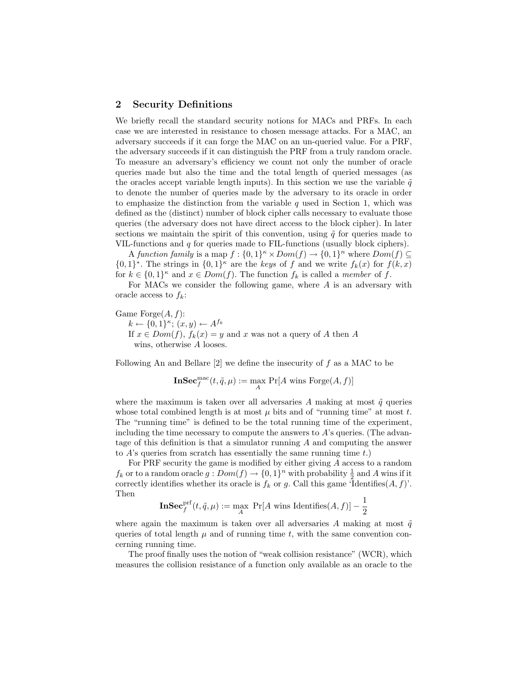## 2 Security Definitions

We briefly recall the standard security notions for MACs and PRFs. In each case we are interested in resistance to chosen message attacks. For a MAC, an adversary succeeds if it can forge the MAC on an un-queried value. For a PRF, the adversary succeeds if it can distinguish the PRF from a truly random oracle. To measure an adversary's efficiency we count not only the number of oracle queries made but also the time and the total length of queried messages (as the oracles accept variable length inputs). In this section we use the variable  $\tilde{q}$ to denote the number of queries made by the adversary to its oracle in order to emphasize the distinction from the variable q used in Section 1, which was defined as the (distinct) number of block cipher calls necessary to evaluate those queries (the adversary does not have direct access to the block cipher). In later sections we maintain the spirit of this convention, using  $\tilde{q}$  for queries made to VIL-functions and q for queries made to FIL-functions (usually block ciphers).

A function family is a map  $f: \{0,1\}^{\kappa} \times Dom(f) \to \{0,1\}^n$  where  $Dom(f) \subseteq$  $\{0,1\}^*$ . The strings in  $\{0,1\}^{\kappa}$  are the keys of f and we write  $f_k(x)$  for  $f(k, x)$ for  $k \in \{0,1\}^{\kappa}$  and  $x \in Dom(f)$ . The function  $f_k$  is called a *member* of f.

For MACs we consider the following game, where A is an adversary with oracle access to  $f_k$ :

Game  $\text{Forge}(A, f)$ :  $k \leftarrow \{0,1\}^{\kappa}; (x,y) \leftarrow A^{f_k}$ If  $x \in Dom(f)$ ,  $f_k(x) = y$  and x was not a query of A then A wins, otherwise A looses.

Following An and Bellare  $|2|$  we define the insecurity of f as a MAC to be

$$
\mathbf{InSec}_f^{\max}(t,\tilde{q},\mu):=\max_A\,\Pr[A\text{ wins Force}(A,f)]
$$

where the maximum is taken over all adversaries A making at most  $\tilde{q}$  queries whose total combined length is at most  $\mu$  bits and of "running time" at most t. The "running time" is defined to be the total running time of the experiment, including the time necessary to compute the answers to  $A$ 's queries. (The advantage of this definition is that a simulator running  $A$  and computing the answer to  $A$ 's queries from scratch has essentially the same running time  $t$ .)

For PRF security the game is modified by either giving A access to a random  $f_k$  or to a random oracle  $g:Dom(f) \to \{0,1\}^n$  with probability  $\frac{1}{2}$  and A wins if it correctly identifies whether its oracle is  $f_k$  or g. Call this game 'Identifies( $A, f$ )'. Then

**InSec**<sub>f</sub><sup>prf</sup>
$$
(t, \tilde{q}, \mu) := \max_{A} \Pr[A \text{ wins Identities}(A, f)] - \frac{1}{2}
$$

where again the maximum is taken over all adversaries A making at most  $\tilde{q}$ queries of total length  $\mu$  and of running time t, with the same convention concerning running time.

The proof finally uses the notion of "weak collision resistance" (WCR), which measures the collision resistance of a function only available as an oracle to the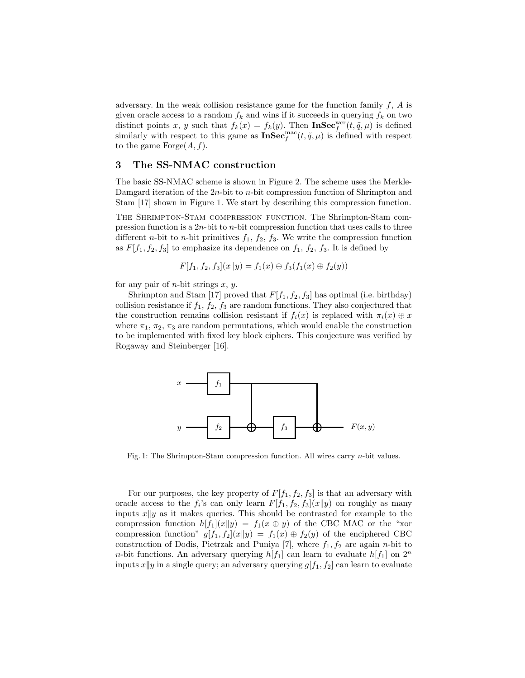adversary. In the weak collision resistance game for the function family  $f, A$  is given oracle access to a random  $f_k$  and wins if it succeeds in querying  $f_k$  on two distinct points x, y such that  $f_k(x) = f_k(y)$ . Then  $\text{InSec}_f^{\text{wcr}}(t, \tilde{q}, \mu)$  is defined similarly with respect to this game as  $\mathbf{InSec}_f^{\text{mac}}(t, \tilde{q}, \mu)$  is defined with respect to the game  $\text{Forge}(A, f)$ .

## 3 The SS-NMAC construction

The basic SS-NMAC scheme is shown in Figure 2. The scheme uses the Merkle-Damgard iteration of the  $2n$ -bit to n-bit compression function of Shrimpton and Stam [17] shown in Figure 1. We start by describing this compression function.

The Shrimpton-Stam compression function. The Shrimpton-Stam compression function is a 2n-bit to n-bit compression function that uses calls to three different *n*-bit to *n*-bit primitives  $f_1$ ,  $f_2$ ,  $f_3$ . We write the compression function as  $F[f_1, f_2, f_3]$  to emphasize its dependence on  $f_1, f_2, f_3$ . It is defined by

$$
F[f_1, f_2, f_3](x||y) = f_1(x) \oplus f_3(f_1(x) \oplus f_2(y))
$$

for any pair of *n*-bit strings  $x, y$ .

Shrimpton and Stam [17] proved that  $F[f_1, f_2, f_3]$  has optimal (i.e. birthday) collision resistance if  $f_1$ ,  $f_2$ ,  $f_3$  are random functions. They also conjectured that the construction remains collision resistant if  $f_i(x)$  is replaced with  $\pi_i(x) \oplus x$ where  $\pi_1$ ,  $\pi_2$ ,  $\pi_3$  are random permutations, which would enable the construction to be implemented with fixed key block ciphers. This conjecture was verified by Rogaway and Steinberger [16].



Fig. 1: The Shrimpton-Stam compression function. All wires carry n-bit values.

For our purposes, the key property of  $F[f_1, f_2, f_3]$  is that an adversary with oracle access to the  $f_i$ 's can only learn  $F[f_1, f_2, f_3](x||y)$  on roughly as many inputs  $x||y$  as it makes queries. This should be contrasted for example to the compression function  $h[f_1](x||y) = f_1(x \oplus y)$  of the CBC MAC or the "xor compression function"  $g[f_1, f_2](x||y) = f_1(x) \oplus f_2(y)$  of the enciphered CBC construction of Dodis, Pietrzak and Puniya [7], where  $f_1, f_2$  are again *n*-bit to *n*-bit functions. An adversary querying  $h[f_1]$  can learn to evaluate  $h[f_1]$  on  $2^n$ inputs  $x||y$  in a single query; an adversary querying  $g[f_1, f_2]$  can learn to evaluate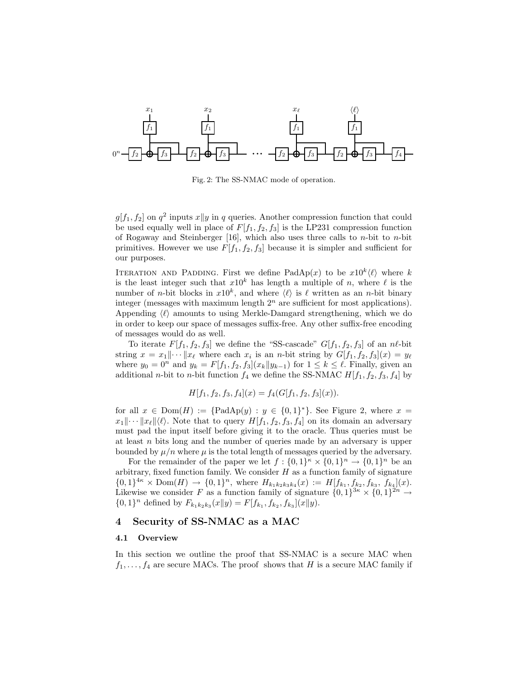

Fig. 2: The SS-NMAC mode of operation.

 $g[f_1, f_2]$  on  $q^2$  inputs  $x||y$  in q queries. Another compression function that could be used equally well in place of  $F[f_1, f_2, f_3]$  is the LP231 compression function of Rogaway and Steinberger [16], which also uses three calls to *n*-bit to *n*-bit primitives. However we use  $F[f_1, f_2, f_3]$  because it is simpler and sufficient for our purposes.

ITERATION AND PADDING. First we define  $\text{PadAp}(x)$  to be  $x10^k \langle \ell \rangle$  where k is the least integer such that  $x10^k$  has length a multiple of n, where  $\ell$  is the number of *n*-bit blocks in  $x10^k$ , and where  $\langle \ell \rangle$  is  $\ell$  written as an *n*-bit binary integer (messages with maximum length  $2<sup>n</sup>$  are sufficient for most applications). Appending  $\langle \ell \rangle$  amounts to using Merkle-Damgard strengthening, which we do in order to keep our space of messages suffix-free. Any other suffix-free encoding of messages would do as well.

To iterate  $F[f_1, f_2, f_3]$  we define the "SS-cascade"  $G[f_1, f_2, f_3]$  of an n $\ell$ -bit string  $x = x_1 \|\cdots \|x_\ell$  where each  $x_i$  is an *n*-bit string by  $G[f_1, f_2, f_3](x) = y_\ell$ where  $y_0 = 0^n$  and  $y_k = F[f_1, f_2, f_3](x_k||y_{k-1})$  for  $1 \leq k \leq \ell$ . Finally, given an additional *n*-bit to *n*-bit function  $f_4$  we define the SS-NMAC  $H[f_1, f_2, f_3, f_4]$  by

$$
H[f_1, f_2, f_3, f_4](x) = f_4(G[f_1, f_2, f_3](x)).
$$

for all  $x \in Dom(H) := \{PadAp(y) : y \in \{0,1\}^*\}$ . See Figure 2, where  $x =$  $x_1\|\cdots\|x_\ell\|\langle\ell\rangle$ . Note that to query  $H[f_1, f_2, f_3, f_4]$  on its domain an adversary must pad the input itself before giving it to the oracle. Thus queries must be at least n bits long and the number of queries made by an adversary is upper bounded by  $\mu/n$  where  $\mu$  is the total length of messages queried by the adversary.

For the remainder of the paper we let  $f: \{0,1\}^n \times \{0,1\}^n \to \{0,1\}^n$  be an arbitrary, fixed function family. We consider  $H$  as a function family of signature  ${0,1}^{4\kappa} \times \text{Dom}(H) \rightarrow {0,1}^n$ , where  $H_{k_1k_2k_3k_4}(x) := H[f_{k_1}, f_{k_2}, f_{k_3}, f_{k_4}](x)$ . Likewise we consider F as a function family of signature  $\{0,1\}^{3\kappa} \times \{0,1\}^{2n} \to$  ${0, 1}^n$  defined by  $F_{k_1k_2k_3}(x||y) = F[f_{k_1}, f_{k_2}, f_{k_3}](x||y)$ .

# 4 Security of SS-NMAC as a MAC

#### 4.1 Overview

In this section we outline the proof that SS-NMAC is a secure MAC when  $f_1, \ldots, f_4$  are secure MACs. The proof shows that H is a secure MAC family if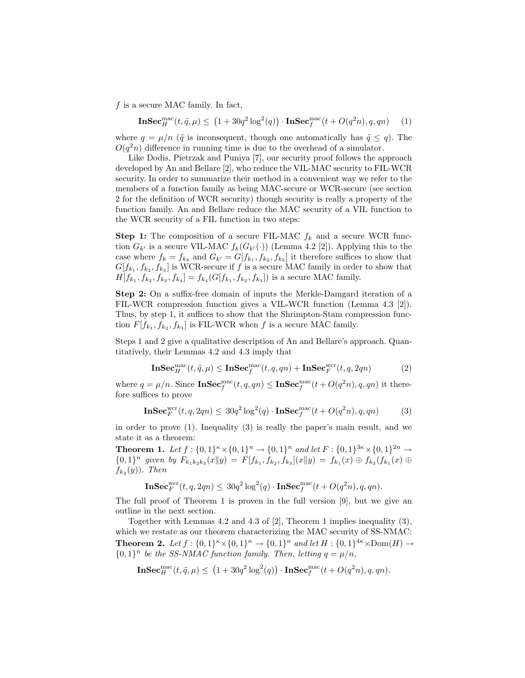$f$  is a secure MAC family. In fact,

 $\mathbf{InSec}_H^{\text{mac}}(t, \tilde{q}, \mu) \leq (1 + 30q^2 \log^2(q)) \cdot \mathbf{InSec}_f^{\text{mac}}(t + O(q^2n), q, qn)$  (1)

where  $q = \mu/n$  ( $\tilde{q}$  is inconsequent, though one automatically has  $\tilde{q} \leq q$ ). The  $O(q^2n)$  difference in running time is due to the overhead of a simulator.

Like Dodis, Pietrzak and Puniya [7], our security proof follows the approach developed by An and Bellare [2], who reduce the VIL-MAC security to FIL-WCR security. In order to summarize their method in a convenient way we refer to the members of a function family as being MAC-secure or WCR-secure (see section 2 for the definition of WCR security) though security is really a property of the function family. An and Bellare reduce the MAC security of a VIL function to the WCR security of a FIL function in two steps:

**Step 1:** The composition of a secure FIL-MAC  $f_k$  and a secure WCR function  $G_{k'}$  is a secure VIL-MAC  $f_k(G_{k'}(\cdot))$  (Lemma 4.2 [2]). Applying this to the case where  $f_k = f_{k_4}$  and  $G_{k'} = G[f_{k_1}, f_{k_2}, f_{k_3}]$  it therefore suffices to show that  $G[f_{k_1}, f_{k_2}, f_{k_3}]$  is WCR-secure if f is a secure MAC family in order to show that  $H[f_{k_1}, f_{k_2}, f_{k_3}, f_{k_4}] = f_{k_4}(G[f_{k_1}, f_{k_2}, f_{k_3}])$  is a secure MAC family.

Step 2: On a suffix-free domain of inputs the Merkle-Damgard iteration of a FIL-WCR compression function gives a VIL-WCR function (Lemma 4.3 [2]). Thus, by step 1, it suffices to show that the Shrimpton-Stam compression function  $F[f_{k_1}, f_{k_2}, f_{k_3}]$  is FIL-WCR when f is a secure MAC family.

Steps 1 and 2 give a qualitative description of An and Bellare's approach. Quantitatively, their Lemmas 4.2 and 4.3 imply that

$$
\mathbf{InSec}_H^{\text{mac}}(t, \tilde{q}, \mu) \le \mathbf{InSec}_f^{\text{mac}}(t, q, qn) + \mathbf{InSec}_F^{\text{wcr}}(t, q, 2qn) \tag{2}
$$

where  $q = \mu/n$ . Since  $\mathbf{InSec}_f^{\text{mac}}(t, q, qn) \leq \mathbf{InSec}_f^{\text{mac}}(t + O(q^2n), q, qn)$  it therefore suffices to prove

$$
\mathbf{InSec}_F^{\text{wcr}}(t, q, 2qn) \le 30q^2 \log^2(q) \cdot \mathbf{InSec}_f^{\text{mac}}(t + O(q^2n), q, qn) \tag{3}
$$

in order to prove (1). Inequality (3) is really the paper's main result, and we state it as a theorem:

**Theorem 1.** Let  $f : \{0,1\}^{\kappa} \times \{0,1\}^n \to \{0,1\}^n$  and let  $F : \{0,1\}^{3\kappa} \times \{0,1\}^{2n} \to$  ${0,1}^n$  given by  $F_{k_1k_2k_3}(x||y) = F[f_{k_1}, f_{k_2}, f_{k_3}](x||y) = f_{k_1}(x) \oplus f_{k_3}(f_{k_1}(x) \oplus f_{k_2}(x))$  $f_{k_2}(y)$ ). Then

$$
\mathbf{InSec}_F^{\mathrm{wcr}}(t,q,2qn) \leq 30q^2 \log^2(q) \cdot \mathbf{InSec}_f^{\mathrm{mac}}(t+O(q^2n),q,qn).
$$

The full proof of Theorem 1 is proven in the full version [9], but we give an outline in the next section.

Together with Lemmas 4.2 and 4.3 of [2], Theorem 1 implies inequality (3), which we restate as our theorem characterizing the MAC security of SS-NMAC: **Theorem 2.** Let  $f : \{0,1\}^n \times \{0,1\}^n \to \{0,1\}^n$  and let  $H : \{0,1\}^{4\kappa} \times \text{Dom}(H) \to$  ${0,1}<sup>n</sup>$  be the SS-NMAC function family. Then, letting  $q = \mu/n$ ,

$$
\mathbf{InSec}_H^{\mathrm{mac}}(t, \tilde{q}, \mu) \le \left(1 + 30q^2 \log^2(q)\right) \cdot \mathbf{InSec}_f^{\mathrm{mac}}(t + O(q^2n), q, qn).
$$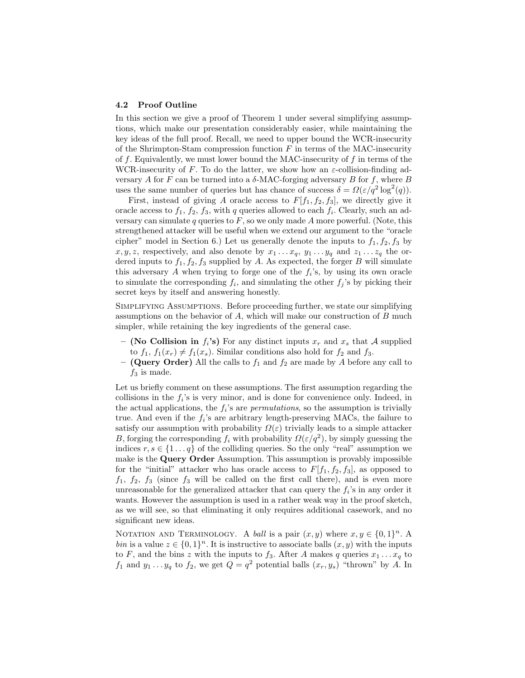#### 4.2 Proof Outline

In this section we give a proof of Theorem 1 under several simplifying assumptions, which make our presentation considerably easier, while maintaining the key ideas of the full proof. Recall, we need to upper bound the WCR-insecurity of the Shrimpton-Stam compression function  $F$  in terms of the MAC-insecurity of  $f$ . Equivalently, we must lower bound the MAC-insecurity of  $f$  in terms of the WCR-insecurity of F. To do the latter, we show how an  $\varepsilon$ -collision-finding adversary A for F can be turned into a  $\delta$ -MAC-forging adversary B for f, where B uses the same number of queries but has chance of success  $\delta = \Omega(\varepsilon/q^2 \log^2(q)).$ 

First, instead of giving A oracle access to  $F[f_1, f_2, f_3]$ , we directly give it oracle access to  $f_1$ ,  $f_2$ ,  $f_3$ , with q queries allowed to each  $f_i$ . Clearly, such an adversary can simulate  $q$  queries to  $F$ , so we only made  $A$  more powerful. (Note, this strengthened attacker will be useful when we extend our argument to the "oracle cipher" model in Section 6.) Let us generally denote the inputs to  $f_1$ ,  $f_2$ ,  $f_3$  by x, y, z, respectively, and also denote by  $x_1 \ldots x_q$ ,  $y_1 \ldots y_q$  and  $z_1 \ldots z_q$  the ordered inputs to  $f_1, f_2, f_3$  supplied by A. As expected, the forger B will simulate this adversary  $A$  when trying to forge one of the  $f_i$ 's, by using its own oracle to simulate the corresponding  $f_i$ , and simulating the other  $f_j$ 's by picking their secret keys by itself and answering honestly.

Simplifying Assumptions. Before proceeding further, we state our simplifying assumptions on the behavior of  $A$ , which will make our construction of  $B$  much simpler, while retaining the key ingredients of the general case.

- (No Collision in  $f_i$ 's) For any distinct inputs  $x_r$  and  $x_s$  that A supplied to  $f_1$ ,  $f_1(x_r) \neq f_1(x_s)$ . Similar conditions also hold for  $f_2$  and  $f_3$ .
- (Query Order) All the calls to  $f_1$  and  $f_2$  are made by A before any call to  $f_3$  is made.

Let us briefly comment on these assumptions. The first assumption regarding the collisions in the  $f_i$ 's is very minor, and is done for convenience only. Indeed, in the actual applications, the  $f_i$ 's are *permutations*, so the assumption is trivially true. And even if the  $f_i$ 's are arbitrary length-preserving MACs, the failure to satisfy our assumption with probability  $\Omega(\varepsilon)$  trivially leads to a simple attacker B, forging the corresponding  $f_i$  with probability  $\Omega(\varepsilon/q^2)$ , by simply guessing the indices  $r, s \in \{1 \dots q\}$  of the colliding queries. So the only "real" assumption we make is the Query Order Assumption. This assumption is provably impossible for the "initial" attacker who has oracle access to  $F[f_1, f_2, f_3]$ , as opposed to  $f_1$ ,  $f_2$ ,  $f_3$  (since  $f_3$  will be called on the first call there), and is even more unreasonable for the generalized attacker that can query the  $f_i$ 's in any order it wants. However the assumption is used in a rather weak way in the proof sketch, as we will see, so that eliminating it only requires additional casework, and no significant new ideas.

NOTATION AND TERMINOLOGY. A ball is a pair  $(x, y)$  where  $x, y \in \{0, 1\}^n$ . bin is a value  $z \in \{0,1\}^n$ . It is instructive to associate balls  $(x, y)$  with the inputs to F, and the bins z with the inputs to  $f_3$ . After A makes q queries  $x_1 \ldots x_q$  to  $f_1$  and  $y_1 \ldots y_q$  to  $f_2$ , we get  $Q = q^2$  potential balls  $(x_r, y_s)$  "thrown" by A. In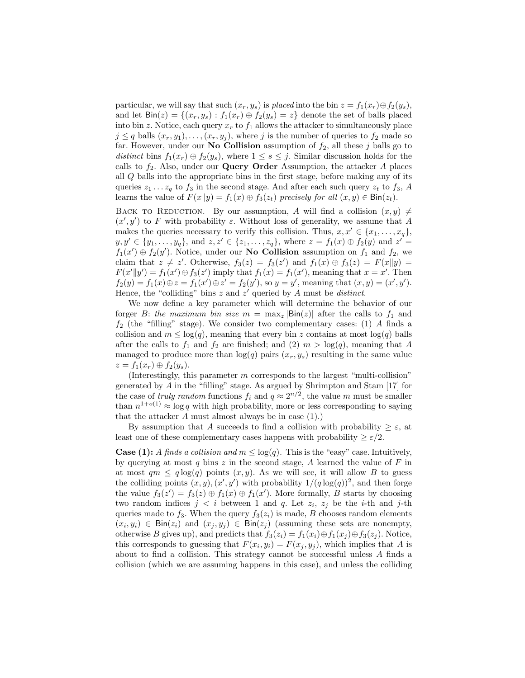particular, we will say that such  $(x_r, y_s)$  is placed into the bin  $z = f_1(x_r) \oplus f_2(y_s)$ , and let  $\text{Bin}(z) = \{(x_r, y_s) : f_1(x_r) \oplus f_2(y_s) = z\}$  denote the set of balls placed into bin z. Notice, each query  $x_r$  to  $f_1$  allows the attacker to simultaneously place  $j \leq q$  balls  $(x_r, y_1), \ldots, (x_r, y_j)$ , where j is the number of queries to  $f_2$  made so far. However, under our **No Collision** assumption of  $f_2$ , all these j balls go to distinct bins  $f_1(x_r) \oplus f_2(y_s)$ , where  $1 \leq s \leq j$ . Similar discussion holds for the calls to  $f_2$ . Also, under our **Query Order** Assumption, the attacker A places all  $Q$  balls into the appropriate bins in the first stage, before making any of its queries  $z_1 \ldots z_q$  to  $f_3$  in the second stage. And after each such query  $z_t$  to  $f_3$ , A learns the value of  $F(x||y) = f_1(x) \oplus f_3(z_t)$  precisely for all  $(x, y) \in Bin(z_t)$ .

BACK TO REDUCTION. By our assumption, A will find a collision  $(x, y) \neq$  $(x', y')$  to F with probability  $\varepsilon$ . Without loss of generality, we assume that A makes the queries necessary to verify this collision. Thus,  $x, x' \in \{x_1, \ldots, x_q\},\$  $y, y' \in \{y_1, \ldots, y_q\}$ , and  $z, z' \in \{z_1, \ldots, z_q\}$ , where  $z = f_1(x) \oplus f_2(y)$  and  $z' =$  $f_1(x') \oplus f_2(y')$ . Notice, under our **No Collision** assumption on  $f_1$  and  $f_2$ , we claim that  $z \neq z'$ . Otherwise,  $f_3(z) = f_3(z')$  and  $f_1(x) \oplus f_3(z) = F(x||y) = z'$  $F(x'||y') = f_1(x') \oplus f_3(z')$  imply that  $f_1(x) = f_1(x')$ , meaning that  $x = x'$ . Then  $f_2(y) = f_1(x) \oplus z = f_1(x') \oplus z' = f_2(y')$ , so  $y = y'$ , meaning that  $(x, y) = (x', y')$ . Hence, the "colliding" bins  $z$  and  $z'$  queried by  $\ddot{A}$  must be *distinct*.

We now define a key parameter which will determine the behavior of our forger B: the maximum bin size  $m = \max_z |\text{Bin}(z)|$  after the calls to  $f_1$  and  $f_2$  (the "filling" stage). We consider two complementary cases: (1) A finds a collision and  $m \leq \log(q)$ , meaning that every bin z contains at most  $\log(q)$  balls after the calls to  $f_1$  and  $f_2$  are finished; and (2)  $m > \log(q)$ , meaning that A managed to produce more than  $log(q)$  pairs  $(x_r, y_s)$  resulting in the same value  $z = f_1(x_r) \oplus f_2(y_s).$ 

(Interestingly, this parameter  $m$  corresponds to the largest "multi-collision" generated by A in the "filling" stage. As argued by Shrimpton and Stam [17] for the case of *truly random* functions  $f_i$  and  $q \approx 2^{n/2}$ , the value m must be smaller than  $n^{1+o(1)} \approx \log q$  with high probability, more or less corresponding to saying that the attacker  $A$  must almost always be in case  $(1)$ .)

By assumption that A succeeds to find a collision with probability  $\geq \varepsilon$ , at least one of these complementary cases happens with probability  $\geq \varepsilon/2$ .

**Case (1):** A finds a collision and  $m \leq \log(q)$ . This is the "easy" case. Intuitively, by querying at most q bins z in the second stage, A learned the value of F in at most  $qm \leq q \log(q)$  points  $(x, y)$ . As we will see, it will allow B to guess the colliding points  $(x, y)$ ,  $(x', y')$  with probability  $1/(q \log(q))^2$ , and then forge the value  $f_3(z') = f_3(z) \oplus f_1(x) \oplus f_1(x')$ . More formally, B starts by choosing two random indices  $j \lt i$  between 1 and q. Let  $z_i$ ,  $z_j$  be the *i*-th and *j*-th queries made to  $f_3$ . When the query  $f_3(z_i)$  is made, B chooses random elements  $(x_i, y_i) \in \text{Bin}(z_i)$  and  $(x_j, y_j) \in \text{Bin}(z_j)$  (assuming these sets are nonempty, otherwise B gives up), and predicts that  $f_3(z_i) = f_1(x_i) \oplus f_1(x_j) \oplus f_3(z_j)$ . Notice, this corresponds to guessing that  $F(x_i, y_i) = F(x_j, y_j)$ , which implies that A is about to find a collision. This strategy cannot be successful unless A finds a collision (which we are assuming happens in this case), and unless the colliding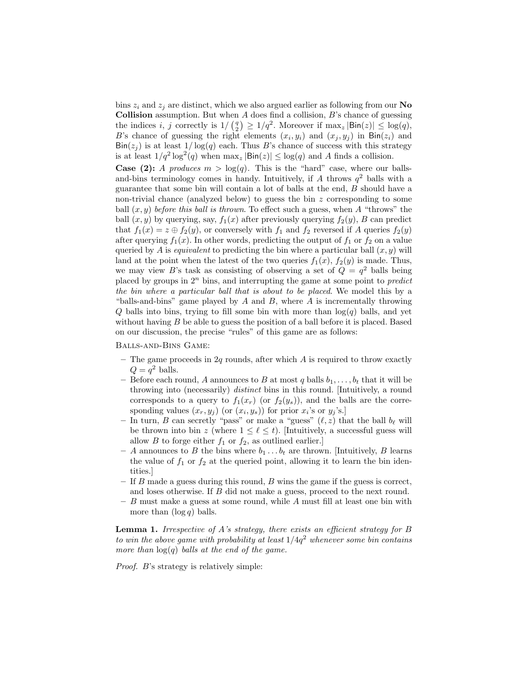bins  $z_i$  and  $z_j$  are distinct, which we also argued earlier as following from our No **Collision** assumption. But when A does find a collision,  $B$ 's chance of guessing the indices *i*, *j* correctly is  $1/{\binom{q}{2}} \ge 1/q^2$ . Moreover if  $\max_z |\text{Bin}(z)| \le \log(q)$ , B's chance of guessing the right elements  $(x_i, y_i)$  and  $(x_j, y_j)$  in  $\text{Bin}(z_i)$  and  $\text{Bin}(z_i)$  is at least  $1/\log(q)$  each. Thus B's chance of success with this strategy is at least  $1/q^2 \log^2(q)$  when  $\max_z |\text{Bin}(z)| \le \log(q)$  and A finds a collision.

**Case (2):** A produces  $m > log(q)$ . This is the "hard" case, where our ballsand-bins terminology comes in handy. Intuitively, if A throws  $q^2$  balls with a guarantee that some bin will contain a lot of balls at the end, B should have a non-trivial chance (analyzed below) to guess the bin  $z$  corresponding to some ball  $(x, y)$  before this ball is thrown. To effect such a guess, when A "throws" the ball  $(x, y)$  by querying, say,  $f_1(x)$  after previously querying  $f_2(y)$ , B can predict that  $f_1(x) = z \oplus f_2(y)$ , or conversely with  $f_1$  and  $f_2$  reversed if A queries  $f_2(y)$ after querying  $f_1(x)$ . In other words, predicting the output of  $f_1$  or  $f_2$  on a value queried by A is *equivalent* to predicting the bin where a particular ball  $(x, y)$  will land at the point when the latest of the two queries  $f_1(x)$ ,  $f_2(y)$  is made. Thus, we may view B's task as consisting of observing a set of  $Q = q^2$  balls being placed by groups in  $2^n$  bins, and interrupting the game at some point to *predict* the bin where a particular ball that is about to be placed. We model this by a "balls-and-bins" game played by  $A$  and  $B$ , where  $A$  is incrementally throwing  $Q$  balls into bins, trying to fill some bin with more than  $log(q)$  balls, and yet without having B be able to guess the position of a ball before it is placed. Based on our discussion, the precise "rules" of this game are as follows:

Balls-and-Bins Game:

- The game proceeds in 2q rounds, after which A is required to throw exactly  $Q = q^2$  balls.
- Before each round, A announces to B at most q balls  $b_1, \ldots, b_t$  that it will be throwing into (necessarily) distinct bins in this round. [Intuitively, a round corresponds to a query to  $f_1(x_r)$  (or  $f_2(y_s)$ ), and the balls are the corresponding values  $(x_r, y_j)$  (or  $(x_i, y_s)$ ) for prior  $x_i$ 's or  $y_j$ 's.]
- In turn, B can secretly "pass" or make a "guess"  $(\ell, z)$  that the ball  $b_{\ell}$  will be thrown into bin z (where  $1 \leq \ell \leq t$ ). [Intuitively, a successful guess will allow B to forge either  $f_1$  or  $f_2$ , as outlined earlier.]
- A announces to B the bins where  $b_1 \ldots b_t$  are thrown. [Intuitively, B learns the value of  $f_1$  or  $f_2$  at the queried point, allowing it to learn the bin identities.]
- $-$  If B made a guess during this round, B wins the game if the guess is correct, and loses otherwise. If B did not make a guess, proceed to the next round.
- $-$  B must make a guess at some round, while A must fill at least one bin with more than  $(\log q)$  balls.

**Lemma 1.** Irrespective of  $A$ 's strategy, there exists an efficient strategy for  $B$ to win the above game with probability at least  $1/4q^2$  whenever some bin contains more than  $log(q)$  balls at the end of the game.

Proof. B's strategy is relatively simple: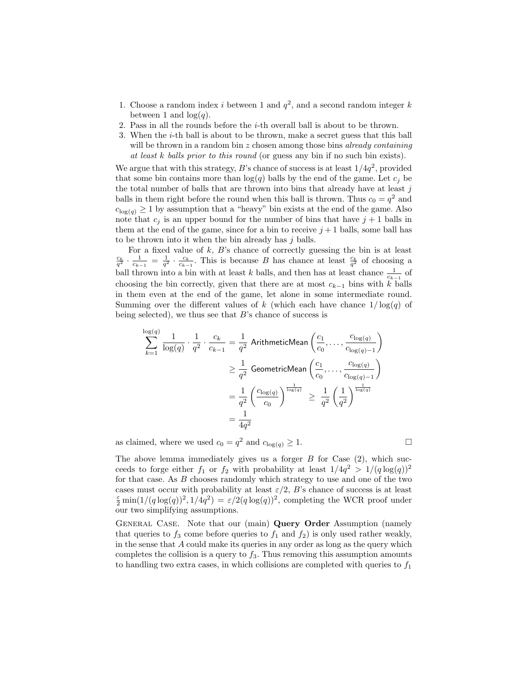- 1. Choose a random index *i* between 1 and  $q^2$ , and a second random integer k between 1 and  $log(q)$ .
- 2. Pass in all the rounds before the  $i$ -th overall ball is about to be thrown.
- 3. When the  $i$ -th ball is about to be thrown, make a secret guess that this ball will be thrown in a random bin  $z$  chosen among those bins *already containing* at least k balls prior to this round (or guess any bin if no such bin exists).

We argue that with this strategy,  $B$ 's chance of success is at least  $1/4q^2$ , provided that some bin contains more than  $log(q)$  balls by the end of the game. Let  $c_j$  be the total number of balls that are thrown into bins that already have at least  $j$ balls in them right before the round when this ball is thrown. Thus  $c_0 = q^2$  and  $c_{\log(q)} \geq 1$  by assumption that a "heavy" bin exists at the end of the game. Also note that  $c_j$  is an upper bound for the number of bins that have  $j + 1$  balls in them at the end of the game, since for a bin to receive  $j+1$  balls, some ball has to be thrown into it when the bin already has  $j$  balls.

For a fixed value of  $k$ ,  $B$ 's chance of correctly guessing the bin is at least  $\frac{c_k}{q^2} \cdot \frac{1}{c_{k-1}} = \frac{1}{q^2} \cdot \frac{c_k}{c_{k-1}}$ . This is because B has chance at least  $\frac{c_k}{q^2}$  of choosing a ball thrown into a bin with at least k balls, and then has at least chance  $\frac{1}{c_{k-1}}$  of choosing the bin correctly, given that there are at most  $c_{k-1}$  bins with k balls in them even at the end of the game, let alone in some intermediate round. Summing over the different values of k (which each have chance  $1/\log(q)$  of being selected), we thus see that  $B$ 's chance of success is

$$
\sum_{k=1}^{\log(q)} \frac{1}{\log(q)} \cdot \frac{1}{q^2} \cdot \frac{c_k}{c_{k-1}} = \frac{1}{q^2}
$$
ArithmeticMean  $\left(\frac{c_1}{c_0}, \dots, \frac{c_{\log(q)}}{c_{\log(q)-1}}\right)$   
\n
$$
\geq \frac{1}{q^2}
$$
 GeometricMean  $\left(\frac{c_1}{c_0}, \dots, \frac{c_{\log(q)}}{c_{\log(q)-1}}\right)$   
\n
$$
= \frac{1}{q^2} \left(\frac{c_{\log(q)}}{c_0}\right)^{\frac{1}{\log(q)}} \geq \frac{1}{q^2} \left(\frac{1}{q^2}\right)^{\frac{1}{\log(q)}}
$$
  
\n
$$
= \frac{1}{4q^2}
$$

as claimed, where we used  $c_0 = q^2$  and  $c_{\log(q)} \ge 1$ .

The above lemma immediately gives us a forger  $B$  for Case  $(2)$ , which succeeds to forge either  $f_1$  or  $f_2$  with probability at least  $1/4q^2 > 1/(q \log(q))^2$ for that case. As  $B$  chooses randomly which strategy to use and one of the two cases must occur with probability at least  $\varepsilon/2$ , B's chance of success is at least  $\frac{\varepsilon}{2} \min(1/(q \log(q))^2, 1/4q^2) = \varepsilon/2(q \log(q))^2$ , completing the WCR proof under our two simplifying assumptions.

General Case. Note that our (main) Query Order Assumption (namely that queries to  $f_3$  come before queries to  $f_1$  and  $f_2$ ) is only used rather weakly, in the sense that A could make its queries in any order as long as the query which completes the collision is a query to  $f_3$ . Thus removing this assumption amounts to handling two extra cases, in which collisions are completed with queries to  $f_1$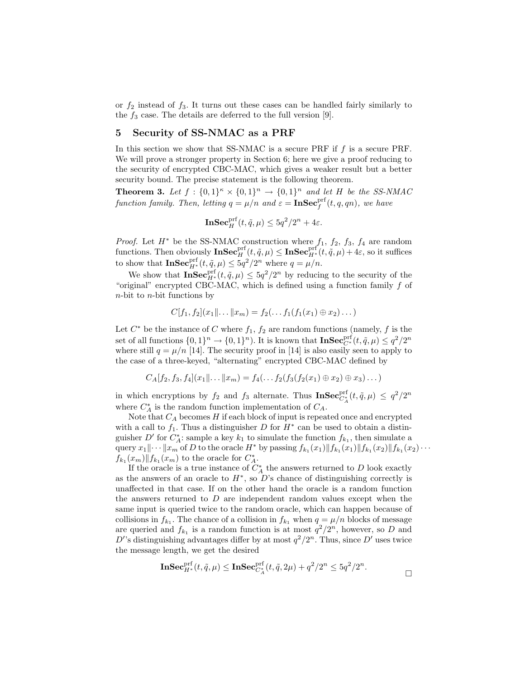or  $f_2$  instead of  $f_3$ . It turns out these cases can be handled fairly similarly to the  $f_3$  case. The details are deferred to the full version [9].

## 5 Security of SS-NMAC as a PRF

In this section we show that SS-NMAC is a secure PRF if  $f$  is a secure PRF. We will prove a stronger property in Section 6; here we give a proof reducing to the security of encrypted CBC-MAC, which gives a weaker result but a better security bound. The precise statement is the following theorem.

**Theorem 3.** Let  $f : \{0,1\}^n \times \{0,1\}^n \rightarrow \{0,1\}^n$  and let H be the SS-NMAC function family. Then, letting  $q = \mu/n$  and  $\varepsilon = \textbf{InSec}_f^{\text{prf}}(t, q, qn)$ , we have

$$
\mathbf{InSec}_H^{\text{prf}}(t, \tilde{q}, \mu) \le 5q^2/2^n + 4\varepsilon.
$$

*Proof.* Let  $H^*$  be the SS-NMAC construction where  $f_1$ ,  $f_2$ ,  $f_3$ ,  $f_4$  are random functions. Then obviously  $\textbf{InSec}_H^{\text{prf}}(t, \tilde{q}, \mu) \leq \textbf{InSec}_H^{\text{prf}}(t, \tilde{q}, \mu) + 4\varepsilon$ , so it suffices to show that  $\mathbf{InSec}_{H^*}^{\text{prf}}(t, \tilde{q}, \mu) \leq 5q^2/2^n$  where  $q = \mu/n$ .

We show that  $\mathbf{InSec}_{H^*}^{\text{prf}}(t, \tilde{q}, \mu) \leq 5q^2/2^n$  by reducing to the security of the "original" encrypted CBC-MAC, which is defined using a function family f of  $n$ -bit to  $n$ -bit functions by

$$
C[f_1, f_2](x_1 \| \dots \| x_m) = f_2(\dots f_1(f_1(x_1) \oplus x_2) \dots)
$$

Let  $C^*$  be the instance of C where  $f_1, f_2$  are random functions (namely, f is the set of all functions  $\{0,1\}^n \to \{0,1\}^n$ ). It is known that  $\mathbf{InSec}_{C^*}^{\text{prf}}(t, \tilde{q}, \mu) \leq q^2/2^n$ where still  $q = \mu/n$  [14]. The security proof in [14] is also easily seen to apply to the case of a three-keyed, "alternating" encrypted CBC-MAC defined by

$$
C_A[f_2, f_3, f_4](x_1\|\ldots\|x_m) = f_4(\ldots f_2(f_3(f_2(x_1)\oplus x_2)\oplus x_3)\ldots)
$$

in which encryptions by  $f_2$  and  $f_3$  alternate. Thus  $\text{InSec}_{C_A^*}^{\text{prf}}(t, \tilde{q}, \mu) \leq q^2/2^n$ where  $C_A^*$  is the random function implementation of  $C_A$ .

Note that  $C_A$  becomes  $H$  if each block of input is repeated once and encrypted with a call to  $f_1$ . Thus a distinguisher D for  $H^*$  can be used to obtain a distinguisher D' for  $C_A^*$ : sample a key  $k_1$  to simulate the function  $f_{k_1}$ , then simulate a query  $x_1 || \cdots || x_m$  of D to the oracle  $H^*$  by passing  $f_{k_1}(x_1) || f_{k_1}(x_1) || f_{k_1}(x_2) || f_{k_1}(x_2) \cdots$  $\widehat{f}_{k_1}(x_m)$   $|| f_{k_1}(x_m)$  to the oracle for  $C_A^*$ .

If the oracle is a true instance of  $\widehat{C}_A^*$  the answers returned to D look exactly as the answers of an oracle to  $H^*$ , so D's chance of distinguishing correctly is unaffected in that case. If on the other hand the oracle is a random function the answers returned to  $D$  are independent random values except when the same input is queried twice to the random oracle, which can happen because of collisions in  $f_{k_1}$ . The chance of a collision in  $f_{k_1}$  when  $q = \mu/n$  blocks of message are queried and  $f_{k_1}$  is a random function is at most  $q^2/2^n$ , however, so D and D''s distinguishing advantages differ by at most  $q^2/2^n$ . Thus, since D' uses twice the message length, we get the desired

$$
\mathbf{InSec}_{H^*}^{\mathrm{prf}}(t,\tilde{q},\mu) \leq \mathbf{InSec}_{C_A^*}^{\mathrm{prf}}(t,\tilde{q},2\mu) + q^2/2^n \leq 5q^2/2^n.
$$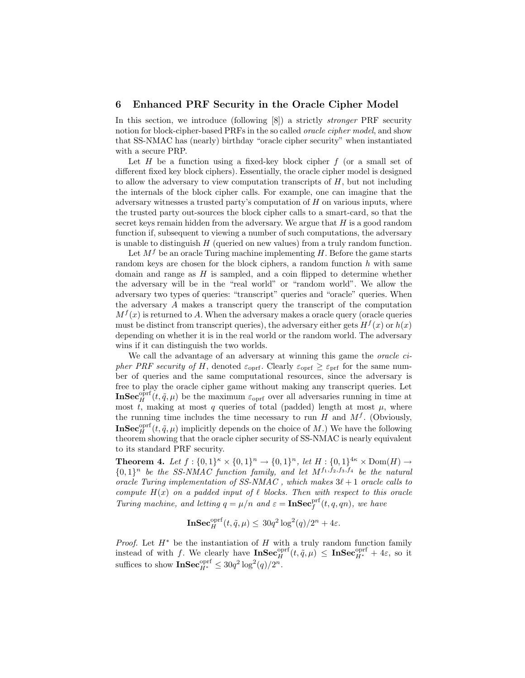## 6 Enhanced PRF Security in the Oracle Cipher Model

In this section, we introduce (following [8]) a strictly *stronger* PRF security notion for block-cipher-based PRFs in the so called *oracle cipher model*, and show that SS-NMAC has (nearly) birthday "oracle cipher security" when instantiated with a secure PRP.

Let  $H$  be a function using a fixed-key block cipher  $f$  (or a small set of different fixed key block ciphers). Essentially, the oracle cipher model is designed to allow the adversary to view computation transcripts of  $H$ , but not including the internals of the block cipher calls. For example, one can imagine that the adversary witnesses a trusted party's computation of  $H$  on various inputs, where the trusted party out-sources the block cipher calls to a smart-card, so that the secret keys remain hidden from the adversary. We argue that  $H$  is a good random function if, subsequent to viewing a number of such computations, the adversary is unable to distinguish  $H$  (queried on new values) from a truly random function.

Let  $M<sup>f</sup>$  be an oracle Turing machine implementing H. Before the game starts random keys are chosen for the block ciphers, a random function  $h$  with same domain and range as  $H$  is sampled, and a coin flipped to determine whether the adversary will be in the "real world" or "random world". We allow the adversary two types of queries: "transcript" queries and "oracle" queries. When the adversary A makes a transcript query the transcript of the computation  $M<sup>f</sup>(x)$  is returned to A. When the adversary makes a oracle query (oracle queries must be distinct from transcript queries), the adversary either gets  $H<sup>f</sup>(x)$  or  $h(x)$ depending on whether it is in the real world or the random world. The adversary wins if it can distinguish the two worlds.

We call the advantage of an adversary at winning this game the oracle cipher PRF security of H, denoted  $\varepsilon_{\text{opt}}$ . Clearly  $\varepsilon_{\text{opt}} \geq \varepsilon_{\text{prf}}$  for the same number of queries and the same computational resources, since the adversary is free to play the oracle cipher game without making any transcript queries. Let **InSec**<sup>oprf</sup> $(t, \tilde{q}, \mu)$  be the maximum  $\varepsilon$ <sub>oprf</sub> over all adversaries running in time at most t, making at most q queries of total (padded) length at most  $\mu$ , where the running time includes the time necessary to run  $H$  and  $M<sup>f</sup>$ . (Obviously, **InSec**<sup>oprf</sup> $(t, \tilde{q}, \mu)$  implicitly depends on the choice of M.) We have the following theorem showing that the oracle cipher security of SS-NMAC is nearly equivalent to its standard PRF security.

**Theorem 4.** Let  $f: \{0,1\}^{\kappa} \times \{0,1\}^n \to \{0,1\}^n$ , let  $H: \{0,1\}^{4\kappa} \times \text{Dom}(H) \to$  ${0,1}<sup>n</sup>$  be the SS-NMAC function family, and let  $M^{f_1,f_2,f_3,f_4}$  be the natural oracle Turing implementation of SS-NMAC, which makes  $3\ell + 1$  oracle calls to compute  $H(x)$  on a padded input of  $\ell$  blocks. Then with respect to this oracle Turing machine, and letting  $q = \mu/n$  and  $\varepsilon = \text{InSec}_f^{\text{prf}}(t, q, qn)$ , we have

$$
\mathbf{InSec}_H^{\mathrm{oprf}}(t, \tilde{q}, \mu) \le 30q^2 \log^2(q)/2^n + 4\varepsilon.
$$

*Proof.* Let  $H^*$  be the instantiation of H with a truly random function family instead of with f. We clearly have  $\text{InSec}_H^{\text{oprf}}(t, \tilde{q}, \mu) \leq \text{InSec}_{H^*}^{\text{oprf}} + 4\varepsilon$ , so it suffices to show  $\mathbf{InSec}_{H^*}^{\text{oprf}} \leq 30q^2 \log^2(q)/2^n$ .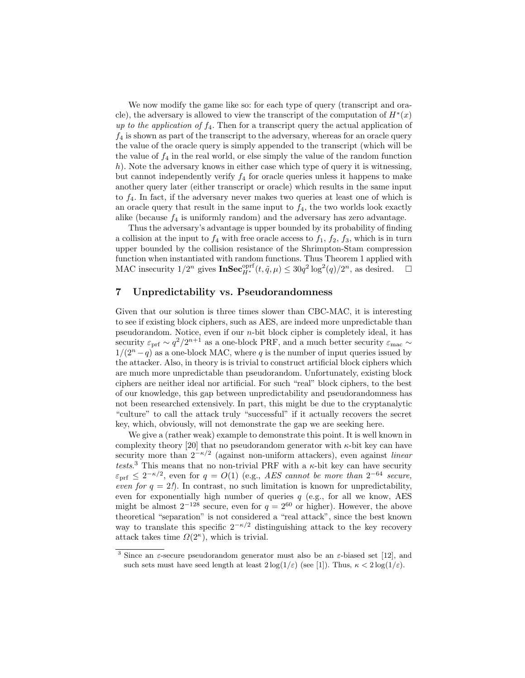We now modify the game like so: for each type of query (transcript and oracle), the adversary is allowed to view the transcript of the computation of  $H^*(x)$ up to the application of  $f_4$ . Then for a transcript query the actual application of  $f_4$  is shown as part of the transcript to the adversary, whereas for an oracle query the value of the oracle query is simply appended to the transcript (which will be the value of  $f_4$  in the real world, or else simply the value of the random function  $h$ ). Note the adversary knows in either case which type of query it is witnessing, but cannot independently verify  $f_4$  for oracle queries unless it happens to make another query later (either transcript or oracle) which results in the same input to  $f_4$ . In fact, if the adversary never makes two queries at least one of which is an oracle query that result in the same input to  $f_4$ , the two worlds look exactly alike (because  $f_4$  is uniformly random) and the adversary has zero advantage.

Thus the adversary's advantage is upper bounded by its probability of finding a collision at the input to  $f_4$  with free oracle access to  $f_1$ ,  $f_2$ ,  $f_3$ , which is in turn upper bounded by the collision resistance of the Shrimpton-Stam compression function when instantiated with random functions. Thus Theorem 1 applied with MAC insecurity  $1/2^n$  gives  $\text{InSec}_{H^*}^{\text{opf}}(t, \tilde{q}, \mu) \leq 30q^2 \log^2(q)/2^n$ , as desired.  $\Box$ 

# 7 Unpredictability vs. Pseudorandomness

Given that our solution is three times slower than CBC-MAC, it is interesting to see if existing block ciphers, such as AES, are indeed more unpredictable than pseudorandom. Notice, even if our n-bit block cipher is completely ideal, it has security  $\varepsilon_{\text{prf}} \sim q^2/2^{n+1}$  as a one-block PRF, and a much better security  $\varepsilon_{\text{mac}} \sim$  $1/(2^{n}-q)$  as a one-block MAC, where q is the number of input queries issued by the attacker. Also, in theory is is trivial to construct artificial block ciphers which are much more unpredictable than pseudorandom. Unfortunately, existing block ciphers are neither ideal nor artificial. For such "real" block ciphers, to the best of our knowledge, this gap between unpredictability and pseudorandomness has not been researched extensively. In part, this might be due to the cryptanalytic "culture" to call the attack truly "successful" if it actually recovers the secret key, which, obviously, will not demonstrate the gap we are seeking here.

We give a (rather weak) example to demonstrate this point. It is well known in complexity theory [20] that no pseudorandom generator with  $\kappa$ -bit key can have security more than  $2^{-\kappa/2}$  (against non-uniform attackers), even against linear tests.<sup>3</sup> This means that no non-trivial PRF with a  $\kappa$ -bit key can have security  $\varepsilon_{\text{prf}} \leq 2^{-\kappa/2}$ , even for  $q = O(1)$  (e.g., AES cannot be more than  $2^{-64}$  secure, even for  $q = 2$ . In contrast, no such limitation is known for unpredictability, even for exponentially high number of queries  $q$  (e.g., for all we know, AES might be almost  $2^{-128}$  secure, even for  $q = 2^{60}$  or higher). However, the above theoretical "separation" is not considered a "real attack", since the best known way to translate this specific  $2^{-\kappa/2}$  distinguishing attack to the key recovery attack takes time  $\Omega(2^{\kappa})$ , which is trivial.

<sup>&</sup>lt;sup>3</sup> Since an  $\varepsilon$ -secure pseudorandom generator must also be an  $\varepsilon$ -biased set [12], and such sets must have seed length at least  $2\log(1/\varepsilon)$  (see [1]). Thus,  $\kappa < 2\log(1/\varepsilon)$ .